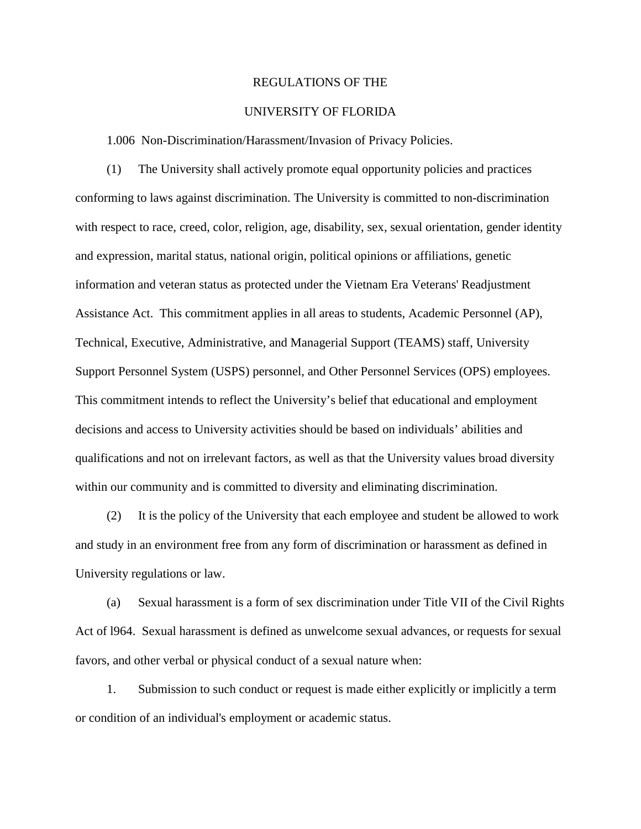## REGULATIONS OF THE

## UNIVERSITY OF FLORIDA

1.006 Non-Discrimination/Harassment/Invasion of Privacy Policies.

(1) The University shall actively promote equal opportunity policies and practices conforming to laws against discrimination. The University is committed to non-discrimination with respect to race, creed, color, religion, age, disability, sex, sexual orientation, gender identity and expression, marital status, national origin, political opinions or affiliations, genetic information and veteran status as protected under the Vietnam Era Veterans' Readjustment Assistance Act. This commitment applies in all areas to students, Academic Personnel (AP), Technical, Executive, Administrative, and Managerial Support (TEAMS) staff, University Support Personnel System (USPS) personnel, and Other Personnel Services (OPS) employees. This commitment intends to reflect the University's belief that educational and employment decisions and access to University activities should be based on individuals' abilities and qualifications and not on irrelevant factors, as well as that the University values broad diversity within our community and is committed to diversity and eliminating discrimination.

(2) It is the policy of the University that each employee and student be allowed to work and study in an environment free from any form of discrimination or harassment as defined in University regulations or law.

(a) Sexual harassment is a form of sex discrimination under Title VII of the Civil Rights Act of l964. Sexual harassment is defined as unwelcome sexual advances, or requests for sexual favors, and other verbal or physical conduct of a sexual nature when:

1. Submission to such conduct or request is made either explicitly or implicitly a term or condition of an individual's employment or academic status.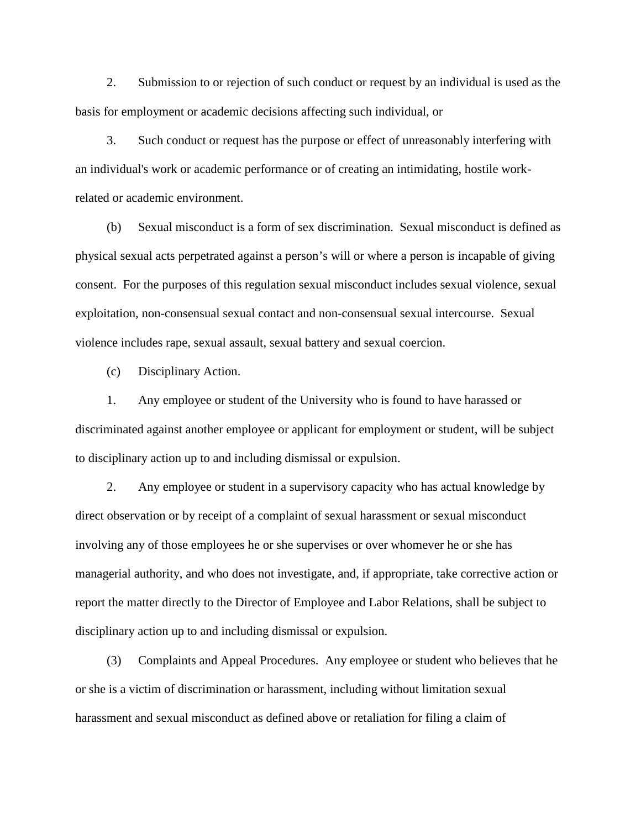2. Submission to or rejection of such conduct or request by an individual is used as the basis for employment or academic decisions affecting such individual, or

3. Such conduct or request has the purpose or effect of unreasonably interfering with an individual's work or academic performance or of creating an intimidating, hostile workrelated or academic environment.

(b) Sexual misconduct is a form of sex discrimination. Sexual misconduct is defined as physical sexual acts perpetrated against a person's will or where a person is incapable of giving consent. For the purposes of this regulation sexual misconduct includes sexual violence, sexual exploitation, non-consensual sexual contact and non-consensual sexual intercourse. Sexual violence includes rape, sexual assault, sexual battery and sexual coercion.

(c) Disciplinary Action.

1. Any employee or student of the University who is found to have harassed or discriminated against another employee or applicant for employment or student, will be subject to disciplinary action up to and including dismissal or expulsion.

2. Any employee or student in a supervisory capacity who has actual knowledge by direct observation or by receipt of a complaint of sexual harassment or sexual misconduct involving any of those employees he or she supervises or over whomever he or she has managerial authority, and who does not investigate, and, if appropriate, take corrective action or report the matter directly to the Director of Employee and Labor Relations, shall be subject to disciplinary action up to and including dismissal or expulsion.

(3) Complaints and Appeal Procedures. Any employee or student who believes that he or she is a victim of discrimination or harassment, including without limitation sexual harassment and sexual misconduct as defined above or retaliation for filing a claim of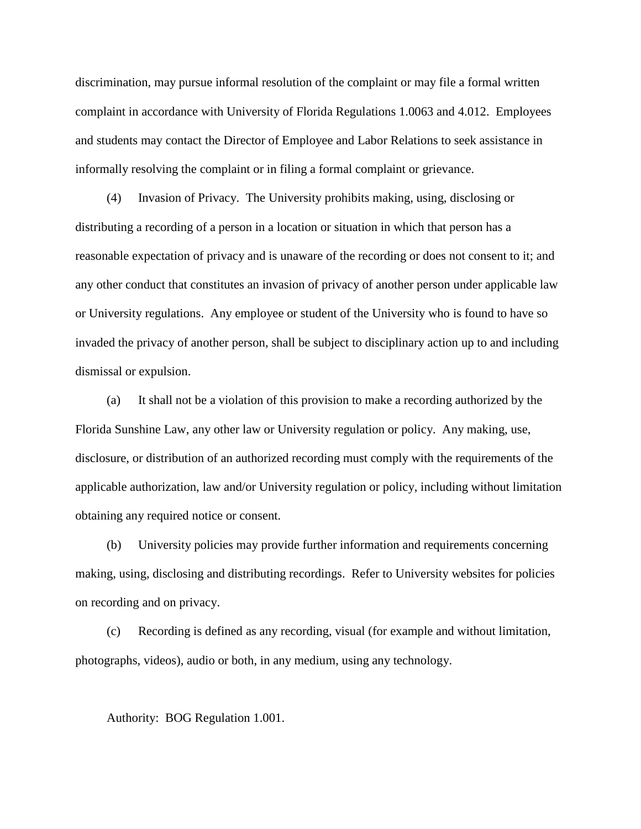discrimination, may pursue informal resolution of the complaint or may file a formal written complaint in accordance with University of Florida Regulations 1.0063 and 4.012. Employees and students may contact the Director of Employee and Labor Relations to seek assistance in informally resolving the complaint or in filing a formal complaint or grievance.

(4) Invasion of Privacy. The University prohibits making, using, disclosing or distributing a recording of a person in a location or situation in which that person has a reasonable expectation of privacy and is unaware of the recording or does not consent to it; and any other conduct that constitutes an invasion of privacy of another person under applicable law or University regulations. Any employee or student of the University who is found to have so invaded the privacy of another person, shall be subject to disciplinary action up to and including dismissal or expulsion.

(a) It shall not be a violation of this provision to make a recording authorized by the Florida Sunshine Law, any other law or University regulation or policy. Any making, use, disclosure, or distribution of an authorized recording must comply with the requirements of the applicable authorization, law and/or University regulation or policy, including without limitation obtaining any required notice or consent.

(b) University policies may provide further information and requirements concerning making, using, disclosing and distributing recordings. Refer to University websites for policies on recording and on privacy.

(c) Recording is defined as any recording, visual (for example and without limitation, photographs, videos), audio or both, in any medium, using any technology.

Authority: BOG Regulation 1.001.